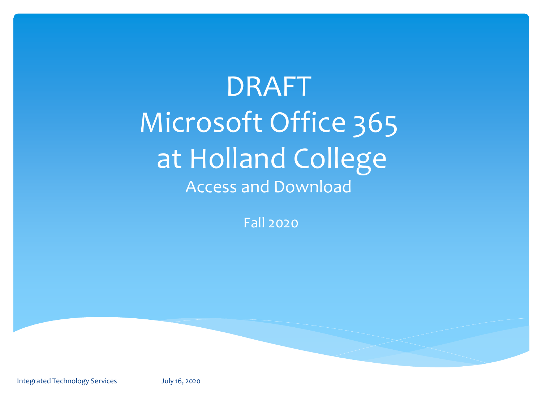DRAFT Microsoft Office 365 at Holland College Access and Download

Fall 2020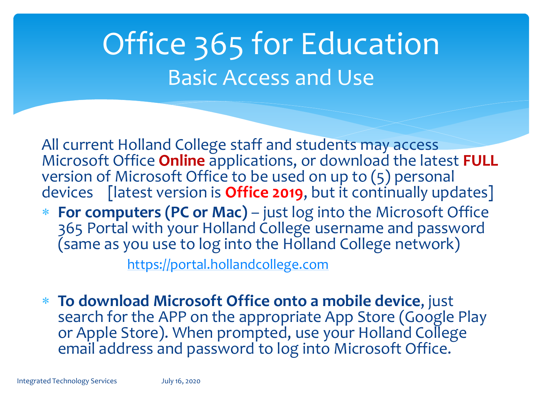### Office 365 for Education Basic Access and Use

All current Holland College staff and students may access Microsoft Office **Online** applications, or download the latest **FULL**  version of Microsoft Office to be used on up to (5) personal devices [latest version is **Office 2019**, but it continually updates]

 **For computers (PC or Mac)** – just log into the Microsoft Office 365 Portal with your Holland College username and password (same as you use to log into the Holland College network)

[https://portal.hollandcollege.com](https://portal.hollandcollege.com/)

 **To download Microsoft Office onto a mobile device**, just search for the APP on the appropriate App Store (Google Play or Apple Store). When prompted, use your Holland College email address and password to log into Microsoft Office.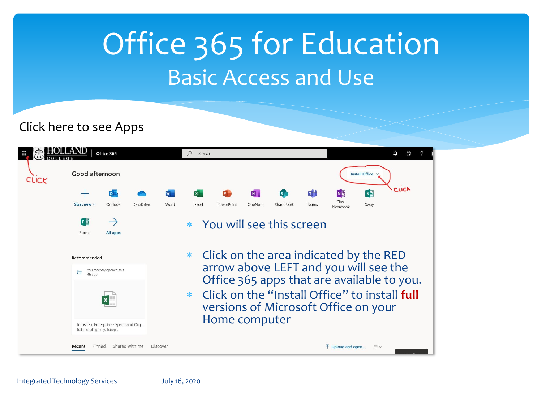### Office 365 for Education Basic Access and Use

Click here to see Apps

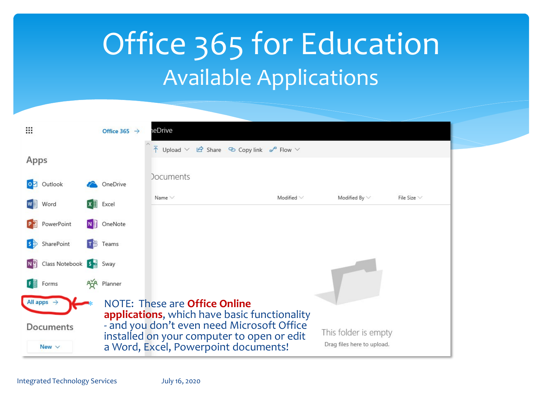### Office 365 for Education Available Applications

| Ш                      |                                    |  | Office 365 $\rightarrow$             | eDrive                                                                                                                          |                 |                            |                  |
|------------------------|------------------------------------|--|--------------------------------------|---------------------------------------------------------------------------------------------------------------------------------|-----------------|----------------------------|------------------|
|                        |                                    |  |                                      | $\overline{\uparrow}$ Upload $\vee$ $\overrightarrow{B}$ Share $\heartsuit$ Copy link $\mathfrak{p}^{\mathfrak{a}}$ Flow $\vee$ |                 |                            |                  |
| Apps                   |                                    |  |                                      |                                                                                                                                 |                 |                            |                  |
|                        | 0 Outlook                          |  | OneDrive                             | <b>Documents</b>                                                                                                                |                 |                            |                  |
|                        | Word                               |  | $X \nightharpoonup$ Excel            | Name $\vee$                                                                                                                     | Modified $\vee$ | Modified By $\vee$         | File Size $\vee$ |
|                        |                                    |  |                                      |                                                                                                                                 |                 |                            |                  |
| lP ⊒                   | PowerPoint                         |  | N OneNote                            |                                                                                                                                 |                 |                            |                  |
| $\mathbf{s}$           | SharePoint                         |  | $T^8$ Teams                          |                                                                                                                                 |                 |                            |                  |
| N <sup>2</sup>         | Class Notebook 5 <sup>5</sup> Sway |  |                                      |                                                                                                                                 |                 |                            |                  |
| F層                     | Forms                              |  | <b>Age</b> Planner                   |                                                                                                                                 |                 |                            |                  |
| All apps $\rightarrow$ |                                    |  | NOTE: These are <b>Office Online</b> |                                                                                                                                 |                 |                            |                  |
|                        |                                    |  |                                      | applications, which have basic functionality                                                                                    |                 |                            |                  |
|                        | Documents                          |  |                                      | - and you don't even need Microsoft Office                                                                                      |                 | This folder is empty       |                  |
|                        | New $\vee$                         |  |                                      | installed on your computer to open or edit<br>a Word, Excel, Powerpoint documents!                                              |                 | Drag files here to upload. |                  |
|                        |                                    |  |                                      |                                                                                                                                 |                 |                            |                  |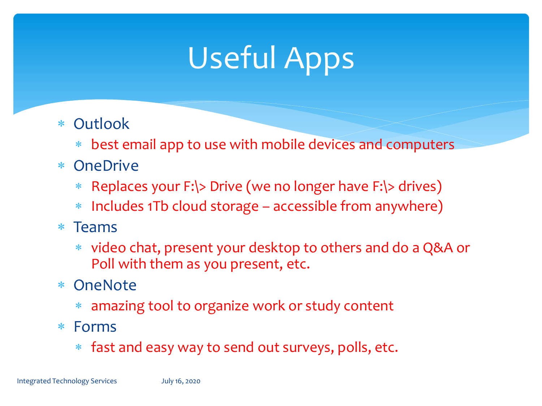# Useful Apps

- Outlook
	- best email app to use with mobile devices and computers
- OneDrive
	- Replaces your F:\> Drive (we no longer have F:\> drives)
	- Includes 1Tb cloud storage accessible from anywhere)
- $*$  Teams
	- video chat, present your desktop to others and do a Q&A or Poll with them as you present, etc.
- OneNote
	- amazing tool to organize work or study content
- Forms
	- fast and easy way to send out surveys, polls, etc.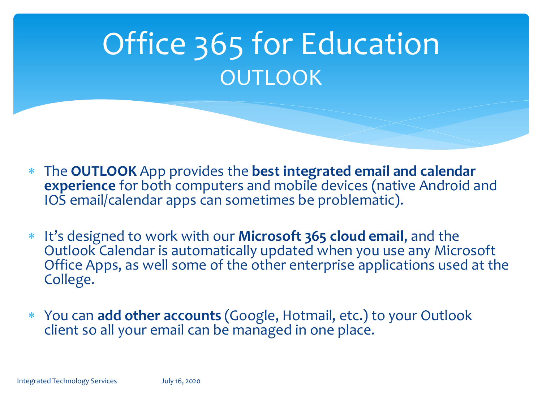### Office 365 for Education **OUTLOOK**

- The **OUTLOOK** App provides the **best integrated email and calendar experience** for both computers and mobile devices (native Android and IOS email/calendar apps can sometimes be problematic).
- It's designed to work with our **Microsoft 365 cloud email**, and the Outlook Calendar is automatically updated when you use any Microsoft Office Apps, as well some of the other enterprise applications used at the College.
- You can **add other accounts** (Google, Hotmail, etc.) to your Outlook client so all your email can be managed in one place.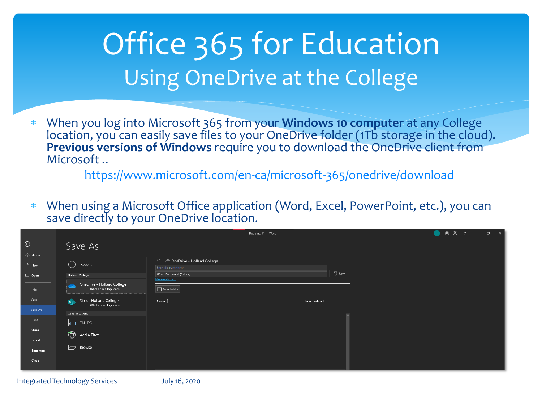### Office 365 for Education Using OneDrive at the College

 When you log into Microsoft 365 from your **Windows 10 computer** at any College location, you can easily save files to your OneDrive folder (1Tb storage in the cloud). **Previous versions of Windows** require you to download the OneDrive client from Microsoft ..

<https://www.microsoft.com/en-ca/microsoft-365/onedrive/download>

 When using a Microsoft Office application (Word, Excel, PowerPoint, etc.), you can save directly to your OneDrive location.

|                              |                                                             |                                                | Document1 - Word        |                   |  | $\begin{array}{ccccccccccccccccc} \bullet & \circ & \circ & \circ & \circ & \circ & \circ & \circ & \circ \end{array}$ |  |
|------------------------------|-------------------------------------------------------------|------------------------------------------------|-------------------------|-------------------|--|------------------------------------------------------------------------------------------------------------------------|--|
| $\odot$                      | Save As                                                     |                                                |                         |                   |  |                                                                                                                        |  |
| <b>ed</b> Home<br>$\Box$ New | $\bigodot$ Recent                                           | ↑ D OneDrive - Holland College                 |                         |                   |  |                                                                                                                        |  |
| D Open                       | <b>Holland College</b>                                      | Enter file name here<br>Word Document (*.docx) | $\overline{\mathbf{v}}$ | $\mathbb{F}$ Save |  |                                                                                                                        |  |
| Info                         | OneDrive - Holland College<br>@hollandcollege.com           | More options<br>New Folder                     |                         |                   |  |                                                                                                                        |  |
| Save                         | Sites - Holland College<br><b>IO</b><br>@hollandcollege.com | Name 1                                         | Date modified           |                   |  |                                                                                                                        |  |
| Save As                      | Other locations                                             |                                                |                         |                   |  |                                                                                                                        |  |
| Print                        | 喦<br>This PC                                                |                                                |                         |                   |  |                                                                                                                        |  |
| Share                        | Add a Place                                                 |                                                |                         |                   |  |                                                                                                                        |  |
| Export                       |                                                             |                                                |                         |                   |  |                                                                                                                        |  |
| Transform                    | $\overline{\Box}$<br>Browse                                 |                                                |                         |                   |  |                                                                                                                        |  |
| Close                        |                                                             |                                                |                         |                   |  |                                                                                                                        |  |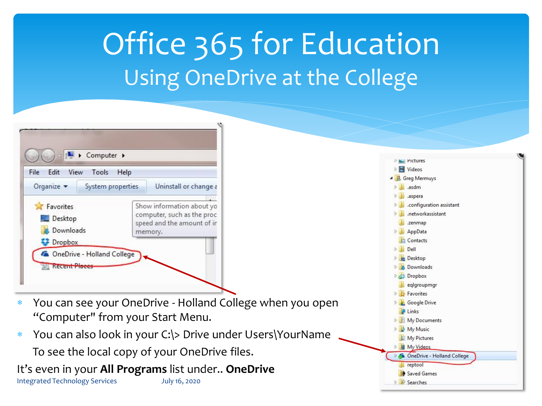### Office 365 for Education Using OneDrive at the College

| Edit View<br>File                            | Tools<br>Help     |                                                                                                                           |  |  |
|----------------------------------------------|-------------------|---------------------------------------------------------------------------------------------------------------------------|--|--|
| Organize v                                   | System properties | Uninstall or change a<br>Show information about yo<br>computer, such as the proc<br>speed and the amount of ir<br>memory. |  |  |
| Favorites<br>Desktop<br>Downloads<br>Dropbox |                   |                                                                                                                           |  |  |

- You can see your OneDrive Holland College when you open "Computer" from your Start Menu.
- You can also look in your C:\> Drive under Users\YourName To see the local copy of your OneDrive files.

It's even in your **All Programs** list under.. **OneDrive** 

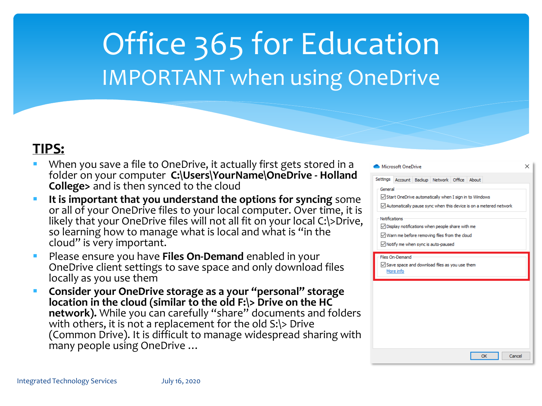### Office 365 for Education IMPORTANT when using OneDrive

#### **TIPS:**

- When you save a file to OneDrive, it actually first gets stored in folder on your computer **C:\Users\YourName\OneDrive - Holland College>** and is then synced to the cloud
- It is important that you understand the options for syncing some or all of your OneDrive files to your local computer. Over time, likely that your OneDrive files will not all fit on your local C:\>Di so learning how to manage what is local and what is "in the cloud" is very important.
- Please ensure you have **Files On-Demand** enabled in your OneDrive client settings to save space and only download files locally as you use them
- **Consider your OneDrive storage as a your "personal" storage location in the cloud (similar to the old F:\> Drive on the HC network).** While you can carefully "share" documents and fold with others, it is not a replacement for the old S:\> Drive (Common Drive). It is difficult to manage widespread sharing v many people using OneDrive …

| า a          | Microsoft OneDrive                                                                                                                                                      |                              |  |                                                      |  |           |        |  |  |  |
|--------------|-------------------------------------------------------------------------------------------------------------------------------------------------------------------------|------------------------------|--|------------------------------------------------------|--|-----------|--------|--|--|--|
| ınd          | Settings                                                                                                                                                                |                              |  | Account Backup Network Office About                  |  |           |        |  |  |  |
| ome<br>it is | General<br>Start OneDrive automatically when I sign in to Windows<br>$\angle$ Automatically pause sync when this device is on a metered network                         |                              |  |                                                      |  |           |        |  |  |  |
| rive,        | Notifications<br>$\vee$ Display notifications when people share with me<br>$\sqrt{}$ Warn me before removing files from the cloud<br>Notify me when sync is auto-paused |                              |  |                                                      |  |           |        |  |  |  |
|              |                                                                                                                                                                         | Files On-Demand<br>More info |  | $\vee$ Save space and download files as you use them |  |           |        |  |  |  |
|              |                                                                                                                                                                         |                              |  |                                                      |  |           |        |  |  |  |
| ders         |                                                                                                                                                                         |                              |  |                                                      |  |           |        |  |  |  |
| $\nu$ ith    |                                                                                                                                                                         |                              |  |                                                      |  |           |        |  |  |  |
|              |                                                                                                                                                                         |                              |  |                                                      |  | <b>OK</b> | Cancel |  |  |  |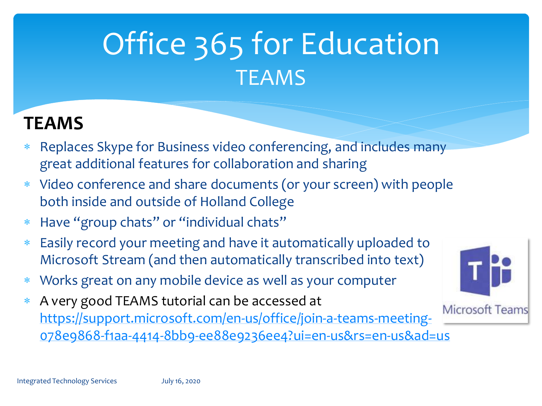### Office 365 for Education **TEAMS**

### **TEAMS**

- Replaces Skype for Business video conferencing, and includes many great additional features for collaboration and sharing
- Video conference and share documents (or your screen) with people both inside and outside of Holland College
- Have "group chats" or "individual chats"
- Easily record your meeting and have it automatically uploaded to Microsoft Stream (and then automatically transcribed into text)
- Works great on any mobile device as well as your computer
- A very good TEAMS tutorial can be accessed at [https://support.microsoft.com/en-us/office/join-a-teams-meeting-](https://support.microsoft.com/en-us/office/join-a-teams-meeting-078e9868-f1aa-4414-8bb9-ee88e9236ee4?ui=en-us&rs=en-us&ad=us)078e9868-f1aa-4414-8bb9-ee88e9236ee4?ui=en-us&rs=en-us&ad=us

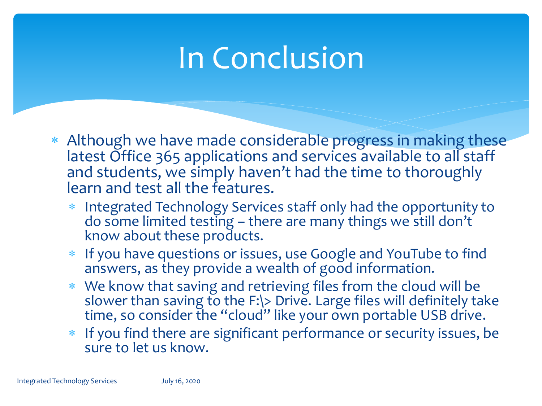### In Conclusion

- Although we have made considerable progress in making these latest Office 365 applications and services available to all staff and students, we simply haven't had the time to thoroughly learn and test all the features.
	- Integrated Technology Services staff only had the opportunity to do some limited testing – there are many things we still don't know about these products.
	- If you have questions or issues, use Google and YouTube to find answers, as they provide a wealth of good information.
	- We know that saving and retrieving files from the cloud will be slower than saving to the F:\> Drive. Large files will definitely take time, so consider the "cloud" like your own portable USB drive.
	- \* If you find there are significant performance or security issues, be sure to let us know.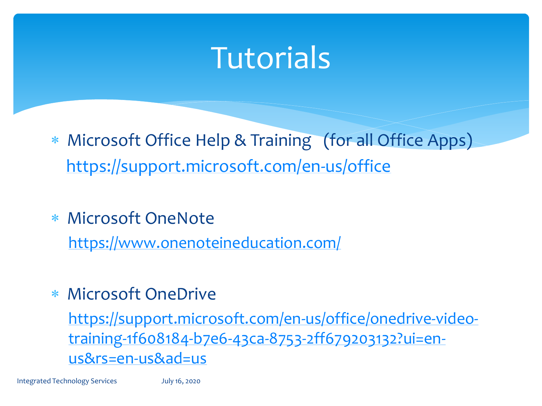### **Tutorials**

- Microsoft Office Help & Training (for all Office Apps) <https://support.microsoft.com/en-us/office>
- Microsoft OneNote

<https://www.onenoteineducation.com/>

#### Microsoft OneDrive

[https://support.microsoft.com/en-us/office/onedrive-video](https://support.microsoft.com/en-us/office/onedrive-video-training-1f608184-b7e6-43ca-8753-2ff679203132?ui=en-us&rs=en-us&ad=us)training-1f608184-b7e6-43ca-8753-2ff679203132?ui=enus&rs=en-us&ad=us